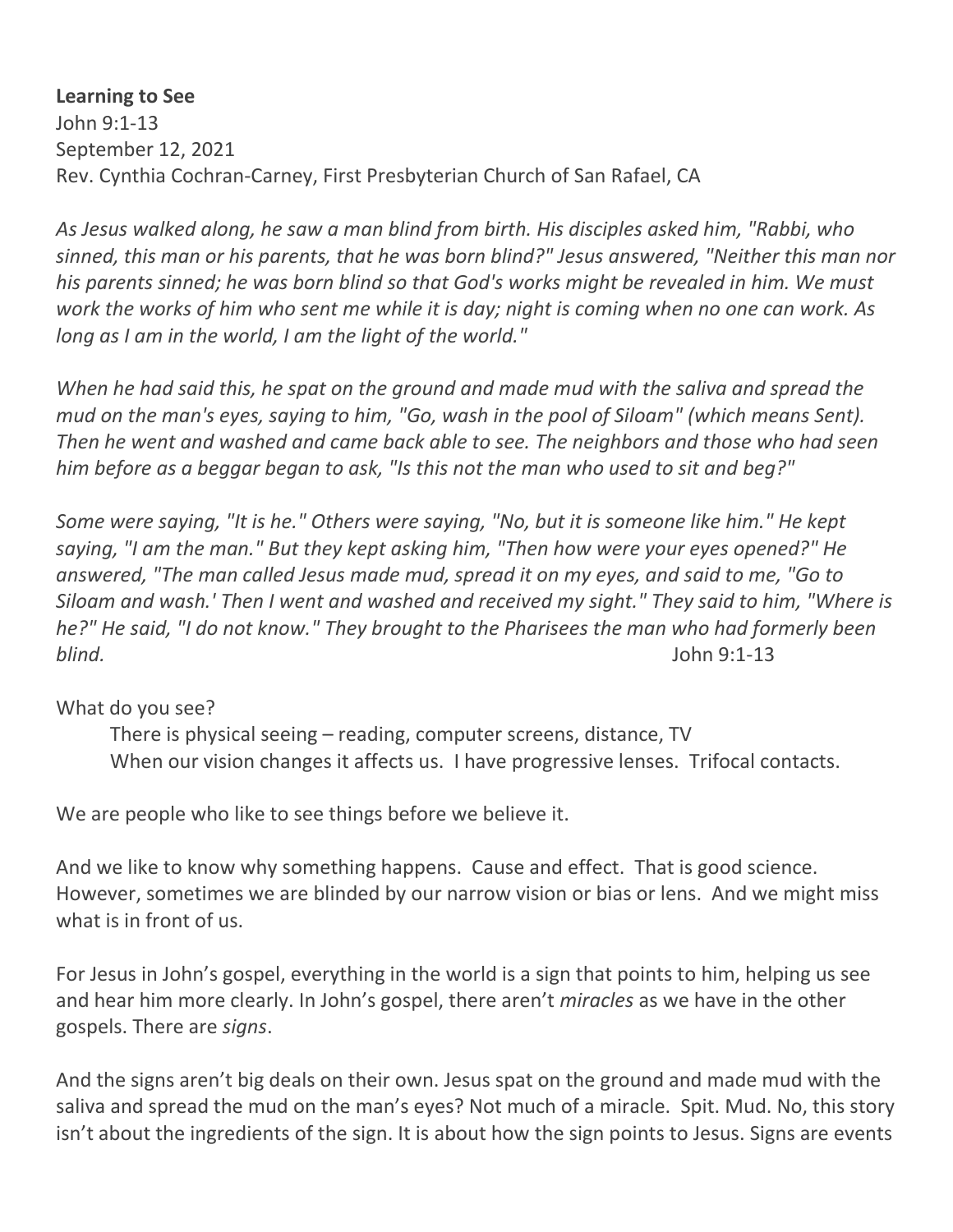**Learning to See** John 9:1-13 September 12, 2021 Rev. Cynthia Cochran-Carney, First Presbyterian Church of San Rafael, CA

*As Jesus walked along, he saw a man blind from birth. His disciples asked him, "Rabbi, who sinned, this man or his parents, that he was born blind?" Jesus answered, "Neither this man nor his parents sinned; he was born blind so that God's works might be revealed in him. We must work the works of him who sent me while it is day; night is coming when no one can work. As long as I am in the world, I am the light of the world."* 

*When he had said this, he spat on the ground and made mud with the saliva and spread the mud on the man's eyes, saying to him, "Go, wash in the pool of Siloam" (which means Sent). Then he went and washed and came back able to see. The neighbors and those who had seen him before as a beggar began to ask, "Is this not the man who used to sit and beg?"* 

*Some were saying, "It is he." Others were saying, "No, but it is someone like him." He kept saying, "I am the man." But they kept asking him, "Then how were your eyes opened?" He answered, "The man called Jesus made mud, spread it on my eyes, and said to me, "Go to Siloam and wash.' Then I went and washed and received my sight." They said to him, "Where is he?" He said, "I do not know." They brought to the Pharisees the man who had formerly been blind.* John 9:1-13

## What do you see?

 There is physical seeing – reading, computer screens, distance, TV When our vision changes it affects us. I have progressive lenses. Trifocal contacts.

We are people who like to see things before we believe it.

And we like to know why something happens. Cause and effect. That is good science. However, sometimes we are blinded by our narrow vision or bias or lens. And we might miss what is in front of us.

For Jesus in John's gospel, everything in the world is a sign that points to him, helping us see and hear him more clearly. In John's gospel, there aren't *miracles* as we have in the other gospels. There are *signs*.

And the signs aren't big deals on their own. Jesus spat on the ground and made mud with the saliva and spread the mud on the man's eyes? Not much of a miracle. Spit. Mud. No, this story isn't about the ingredients of the sign. It is about how the sign points to Jesus. Signs are events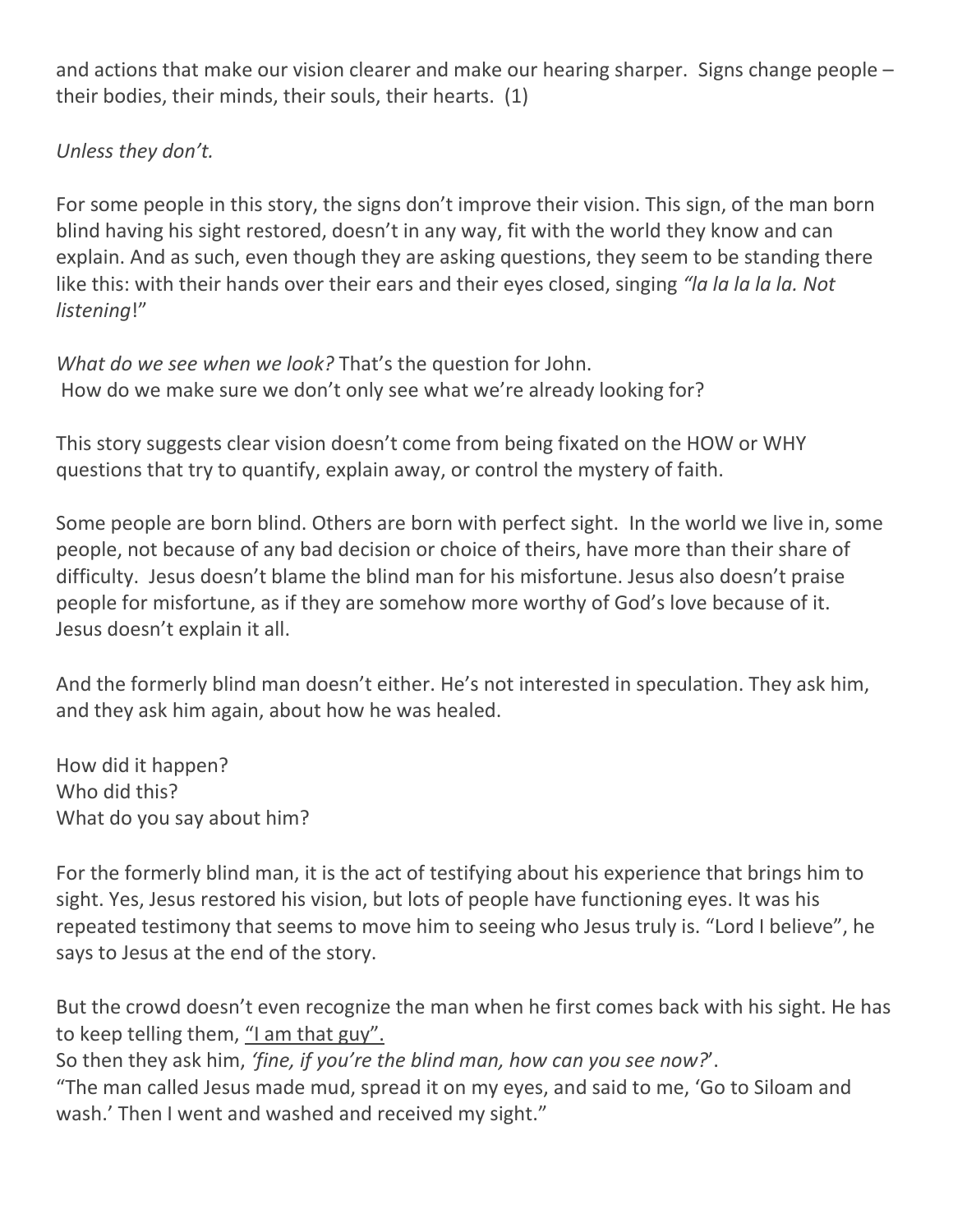and actions that make our vision clearer and make our hearing sharper. Signs change people – their bodies, their minds, their souls, their hearts. (1)

## *Unless they don't.*

For some people in this story, the signs don't improve their vision. This sign, of the man born blind having his sight restored, doesn't in any way, fit with the world they know and can explain. And as such, even though they are asking questions, they seem to be standing there like this: with their hands over their ears and their eyes closed, singing *"la la la la la. Not listening*!"

*What do we see when we look?* That's the question for John. How do we make sure we don't only see what we're already looking for?

This story suggests clear vision doesn't come from being fixated on the HOW or WHY questions that try to quantify, explain away, or control the mystery of faith.

Some people are born blind. Others are born with perfect sight. In the world we live in, some people, not because of any bad decision or choice of theirs, have more than their share of difficulty. Jesus doesn't blame the blind man for his misfortune. Jesus also doesn't praise people for misfortune, as if they are somehow more worthy of God's love because of it. Jesus doesn't explain it all.

And the formerly blind man doesn't either. He's not interested in speculation. They ask him, and they ask him again, about how he was healed.

How did it happen? Who did this? What do you say about him?

For the formerly blind man, it is the act of testifying about his experience that brings him to sight. Yes, Jesus restored his vision, but lots of people have functioning eyes. It was his repeated testimony that seems to move him to seeing who Jesus truly is. "Lord I believe", he says to Jesus at the end of the story.

But the crowd doesn't even recognize the man when he first comes back with his sight. He has to keep telling them, "I am that guy".

So then they ask him, *'fine, if you're the blind man, how can you see now?*'.

"The man called Jesus made mud, spread it on my eyes, and said to me, 'Go to Siloam and wash.' Then I went and washed and received my sight."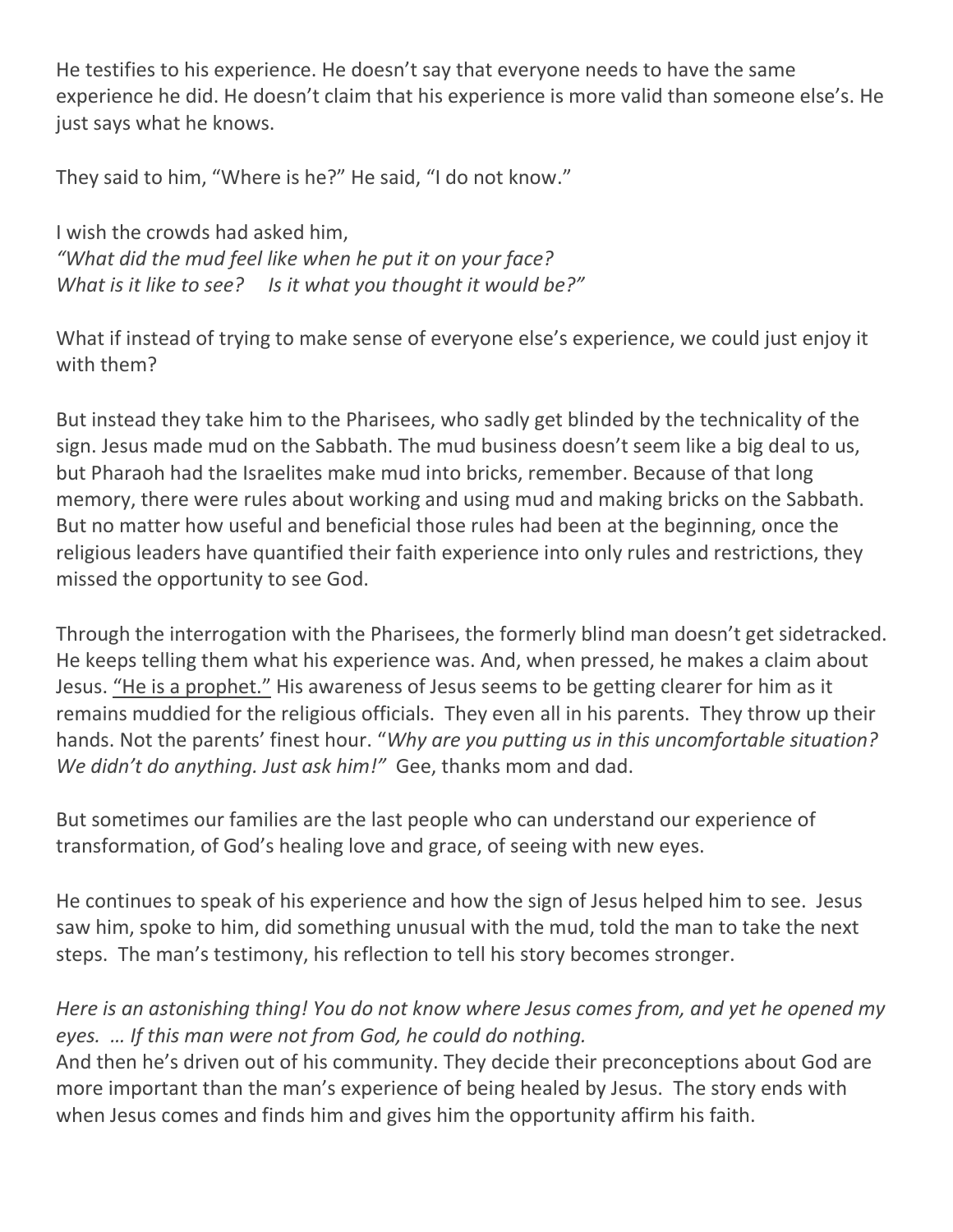He testifies to his experience. He doesn't say that everyone needs to have the same experience he did. He doesn't claim that his experience is more valid than someone else's. He just says what he knows.

They said to him, "Where is he?" He said, "I do not know."

I wish the crowds had asked him, *"What did the mud feel like when he put it on your face? What is it like to see? Is it what you thought it would be?"*

What if instead of trying to make sense of everyone else's experience, we could just enjoy it with them?

But instead they take him to the Pharisees, who sadly get blinded by the technicality of the sign. Jesus made mud on the Sabbath. The mud business doesn't seem like a big deal to us, but Pharaoh had the Israelites make mud into bricks, remember. Because of that long memory, there were rules about working and using mud and making bricks on the Sabbath. But no matter how useful and beneficial those rules had been at the beginning, once the religious leaders have quantified their faith experience into only rules and restrictions, they missed the opportunity to see God.

Through the interrogation with the Pharisees, the formerly blind man doesn't get sidetracked. He keeps telling them what his experience was. And, when pressed, he makes a claim about Jesus. "He is a prophet." His awareness of Jesus seems to be getting clearer for him as it remains muddied for the religious officials. They even all in his parents. They throw up their hands. Not the parents' finest hour. "*Why are you putting us in this uncomfortable situation? We didn't do anything. Just ask him!"* Gee, thanks mom and dad.

But sometimes our families are the last people who can understand our experience of transformation, of God's healing love and grace, of seeing with new eyes.

He continues to speak of his experience and how the sign of Jesus helped him to see. Jesus saw him, spoke to him, did something unusual with the mud, told the man to take the next steps. The man's testimony, his reflection to tell his story becomes stronger.

## *Here is an astonishing thing! You do not know where Jesus comes from, and yet he opened my eyes. … If this man were not from God, he could do nothing.*

And then he's driven out of his community. They decide their preconceptions about God are more important than the man's experience of being healed by Jesus. The story ends with when Jesus comes and finds him and gives him the opportunity affirm his faith.